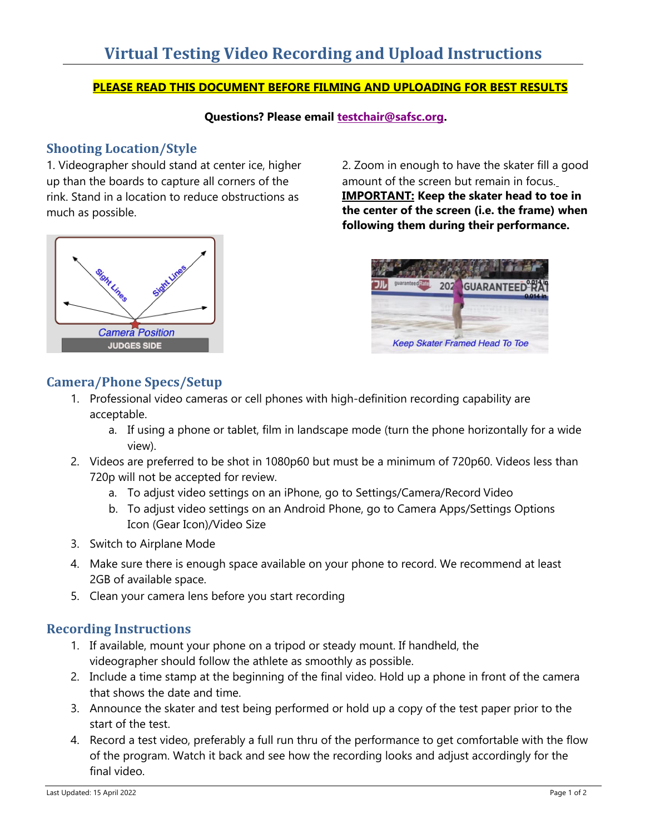## **PLEASE READ THIS DOCUMENT BEFORE FILMING AND UPLOADING FOR BEST RESULTS**

**Questions? Please email testchair@safsc.org.**

# **Shooting Location/Style**

1. Videographer should stand at center ice, higher up than the boards to capture all corners of the rink. Stand in a location to reduce obstructions as much as possible.



2. Zoom in enough to have the skater fill a good amount of the screen but remain in focus. **IMPORTANT: Keep the skater head to toe in the center of the screen (i.e. the frame) when following them during their performance.**



# **Camera/Phone Specs/Setup**

- 1. Professional video cameras or cell phones with high-definition recording capability are acceptable.
	- a. If using a phone or tablet, film in landscape mode (turn the phone horizontally for a wide view).
- 2. Videos are preferred to be shot in 1080p60 but must be a minimum of 720p60. Videos less than 720p will not be accepted for review.
	- a. To adjust video settings on an iPhone, go to Settings/Camera/Record Video
	- b. To adjust video settings on an Android Phone, go to Camera Apps/Settings Options Icon (Gear Icon)/Video Size
- 3. Switch to Airplane Mode
- 4. Make sure there is enough space available on your phone to record. We recommend at least 2GB of available space.
- 5. Clean your camera lens before you start recording

# **Recording Instructions**

- 1. If available, mount your phone on a tripod or steady mount. If handheld, the videographer should follow the athlete as smoothly as possible.
- 2. Include a time stamp at the beginning of the final video. Hold up a phone in front of the camera that shows the date and time.
- 3. Announce the skater and test being performed or hold up a copy of the test paper prior to the start of the test.
- 4. Record a test video, preferably a full run thru of the performance to get comfortable with the flow of the program. Watch it back and see how the recording looks and adjust accordingly for the final video.